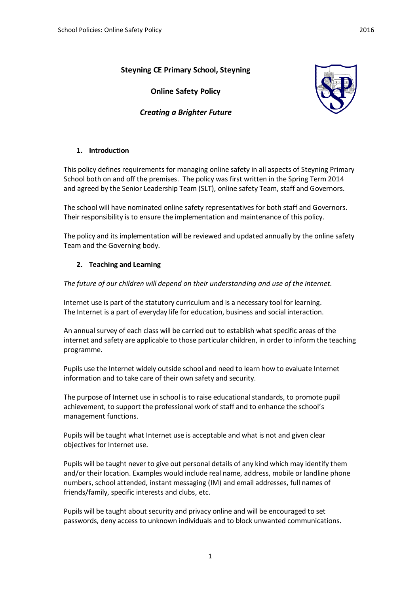# **Steyning CE Primary School, Steyning**

**Online Safety Policy** 



# *Creating a Brighter Future*

## **1. Introduction**

This policy defines requirements for managing online safety in all aspects of Steyning Primary School both on and off the premises. The policy was first written in the Spring Term 2014 and agreed by the Senior Leadership Team (SLT), online safety Team, staff and Governors.

The school will have nominated online safety representatives for both staff and Governors. Their responsibility is to ensure the implementation and maintenance of this policy.

The policy and its implementation will be reviewed and updated annually by the online safety Team and the Governing body.

## **2. Teaching and Learning**

*The future of our children will depend on their understanding and use of the internet.* 

Internet use is part of the statutory curriculum and is a necessary tool for learning. The Internet is a part of everyday life for education, business and social interaction.

An annual survey of each class will be carried out to establish what specific areas of the internet and safety are applicable to those particular children, in order to inform the teaching programme.

Pupils use the Internet widely outside school and need to learn how to evaluate Internet information and to take care of their own safety and security.

The purpose of Internet use in school is to raise educational standards, to promote pupil achievement, to support the professional work of staff and to enhance the school's management functions.

Pupils will be taught what Internet use is acceptable and what is not and given clear objectives for Internet use.

Pupils will be taught never to give out personal details of any kind which may identify them and/or their location. Examples would include real name, address, mobile or landline phone numbers, school attended, instant messaging (IM) and email addresses, full names of friends/family, specific interests and clubs, etc.

Pupils will be taught about security and privacy online and will be encouraged to set passwords, deny access to unknown individuals and to block unwanted communications.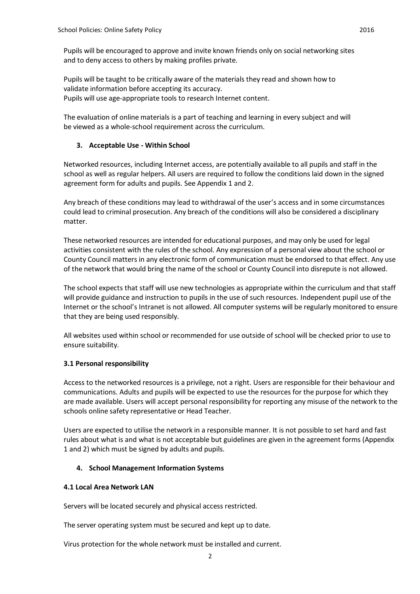Pupils will be encouraged to approve and invite known friends only on social networking sites and to deny access to others by making profiles private.

Pupils will be taught to be critically aware of the materials they read and shown how to validate information before accepting its accuracy. Pupils will use age-appropriate tools to research Internet content.

The evaluation of online materials is a part of teaching and learning in every subject and will be viewed as a whole-school requirement across the curriculum.

## **3. Acceptable Use - Within School**

Networked resources, including Internet access, are potentially available to all pupils and staff in the school as well as regular helpers. All users are required to follow the conditions laid down in the signed agreement form for adults and pupils. See Appendix 1 and 2.

Any breach of these conditions may lead to withdrawal of the user's access and in some circumstances could lead to criminal prosecution. Any breach of the conditions will also be considered a disciplinary matter.

These networked resources are intended for educational purposes, and may only be used for legal activities consistent with the rules of the school. Any expression of a personal view about the school or County Council matters in any electronic form of communication must be endorsed to that effect. Any use of the network that would bring the name of the school or County Council into disrepute is not allowed.

The school expects that staff will use new technologies as appropriate within the curriculum and that staff will provide guidance and instruction to pupils in the use of such resources. Independent pupil use of the Internet or the school's Intranet is not allowed. All computer systems will be regularly monitored to ensure that they are being used responsibly.

All websites used within school or recommended for use outside of school will be checked prior to use to ensure suitability.

## **3.1 Personal responsibility**

Access to the networked resources is a privilege, not a right. Users are responsible for their behaviour and communications. Adults and pupils will be expected to use the resources for the purpose for which they are made available. Users will accept personal responsibility for reporting any misuse of the network to the schools online safety representative or Head Teacher.

Users are expected to utilise the network in a responsible manner. It is not possible to set hard and fast rules about what is and what is not acceptable but guidelines are given in the agreement forms (Appendix 1 and 2) which must be signed by adults and pupils.

## **4. School Management Information Systems**

### **4.1 Local Area Network LAN**

Servers will be located securely and physical access restricted.

The server operating system must be secured and kept up to date.

Virus protection for the whole network must be installed and current.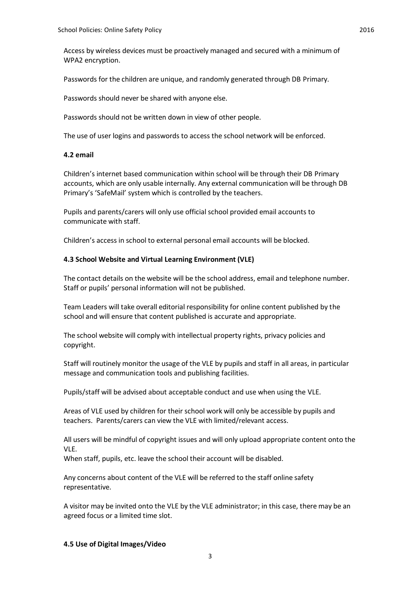Access by wireless devices must be proactively managed and secured with a minimum of WPA2 encryption.

Passwords for the children are unique, and randomly generated through DB Primary.

Passwords should never be shared with anyone else.

Passwords should not be written down in view of other people.

The use of user logins and passwords to access the school network will be enforced.

#### **4.2 email**

Children's internet based communication within school will be through their DB Primary accounts, which are only usable internally. Any external communication will be through DB Primary's 'SafeMail' system which is controlled by the teachers.

Pupils and parents/carers will only use official school provided email accounts to communicate with staff.

Children's access in school to external personal email accounts will be blocked.

#### **4.3 School Website and Virtual Learning Environment (VLE)**

The contact details on the website will be the school address, email and telephone number. Staff or pupils' personal information will not be published.

Team Leaders will take overall editorial responsibility for online content published by the school and will ensure that content published is accurate and appropriate.

The school website will comply with intellectual property rights, privacy policies and copyright.

Staff will routinely monitor the usage of the VLE by pupils and staff in all areas, in particular message and communication tools and publishing facilities.

Pupils/staff will be advised about acceptable conduct and use when using the VLE.

Areas of VLE used by children for their school work will only be accessible by pupils and teachers. Parents/carers can view the VLE with limited/relevant access.

All users will be mindful of copyright issues and will only upload appropriate content onto the VLE.

When staff, pupils, etc. leave the school their account will be disabled.

Any concerns about content of the VLE will be referred to the staff online safety representative.

A visitor may be invited onto the VLE by the VLE administrator; in this case, there may be an agreed focus or a limited time slot.

### **4.5 Use of Digital Images/Video**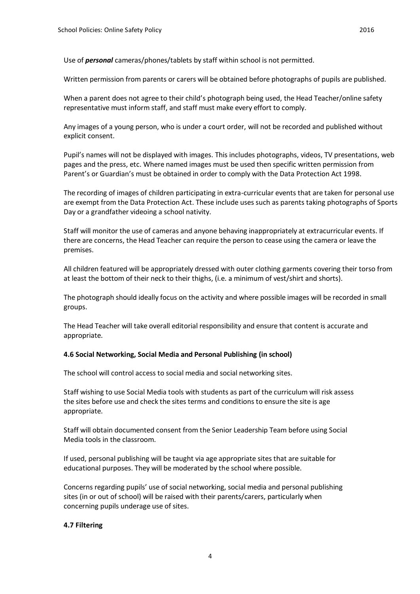Use of *personal* cameras/phones/tablets by staff within school is not permitted.

Written permission from parents or carers will be obtained before photographs of pupils are published.

When a parent does not agree to their child's photograph being used, the Head Teacher/online safety representative must inform staff, and staff must make every effort to comply.

Any images of a young person, who is under a court order, will not be recorded and published without explicit consent.

Pupil's names will not be displayed with images. This includes photographs, videos, TV presentations, web pages and the press, etc. Where named images must be used then specific written permission from Parent's or Guardian's must be obtained in order to comply with the Data Protection Act 1998.

The recording of images of children participating in extra-curricular events that are taken for personal use are exempt from the Data Protection Act. These include uses such as parents taking photographs of Sports Day or a grandfather videoing a school nativity.

Staff will monitor the use of cameras and anyone behaving inappropriately at extracurricular events. If there are concerns, the Head Teacher can require the person to cease using the camera or leave the premises.

All children featured will be appropriately dressed with outer clothing garments covering their torso from at least the bottom of their neck to their thighs, (i.e. a minimum of vest/shirt and shorts).

The photograph should ideally focus on the activity and where possible images will be recorded in small groups.

The Head Teacher will take overall editorial responsibility and ensure that content is accurate and appropriate.

### **4.6 Social Networking, Social Media and Personal Publishing (in school)**

The school will control access to social media and social networking sites.

Staff wishing to use Social Media tools with students as part of the curriculum will risk assess the sites before use and check the sites terms and conditions to ensure the site is age appropriate.

Staff will obtain documented consent from the Senior Leadership Team before using Social Media tools in the classroom.

If used, personal publishing will be taught via age appropriate sites that are suitable for educational purposes. They will be moderated by the school where possible.

Concerns regarding pupils' use of social networking, social media and personal publishing sites (in or out of school) will be raised with their parents/carers, particularly when concerning pupils underage use of sites.

### **4.7 Filtering**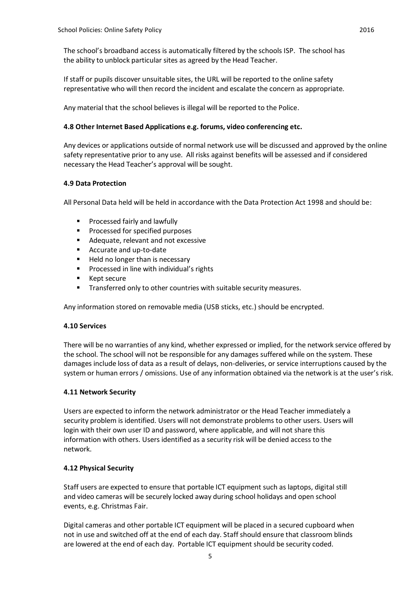The school's broadband access is automatically filtered by the schools ISP. The school has the ability to unblock particular sites as agreed by the Head Teacher.

If staff or pupils discover unsuitable sites, the URL will be reported to the online safety representative who will then record the incident and escalate the concern as appropriate.

Any material that the school believes is illegal will be reported to the Police.

## **4.8 Other Internet Based Applications e.g. forums, video conferencing etc.**

Any devices or applications outside of normal network use will be discussed and approved by the online safety representative prior to any use. All risks against benefits will be assessed and if considered necessary the Head Teacher's approval will be sought.

## **4.9 Data Protection**

All Personal Data held will be held in accordance with the Data Protection Act 1998 and should be:

- **Processed fairly and lawfully**
- **Processed for specified purposes**
- Adequate, relevant and not excessive
- Accurate and up-to-date
- Held no longer than is necessary
- **Processed in line with individual's rights**
- Kept secure
- **Transferred only to other countries with suitable security measures.**

Any information stored on removable media (USB sticks, etc.) should be encrypted.

### **4.10 Services**

There will be no warranties of any kind, whether expressed or implied, for the network service offered by the school. The school will not be responsible for any damages suffered while on the system. These damages include loss of data as a result of delays, non-deliveries, or service interruptions caused by the system or human errors / omissions. Use of any information obtained via the network is at the user's risk.

### **4.11 Network Security**

Users are expected to inform the network administrator or the Head Teacher immediately a security problem is identified. Users will not demonstrate problems to other users. Users will login with their own user ID and password, where applicable, and will not share this information with others. Users identified as a security risk will be denied access to the network.

## **4.12 Physical Security**

Staff users are expected to ensure that portable ICT equipment such as laptops, digital still and video cameras will be securely locked away during school holidays and open school events, e.g. Christmas Fair.

Digital cameras and other portable ICT equipment will be placed in a secured cupboard when not in use and switched off at the end of each day. Staff should ensure that classroom blinds are lowered at the end of each day. Portable ICT equipment should be security coded.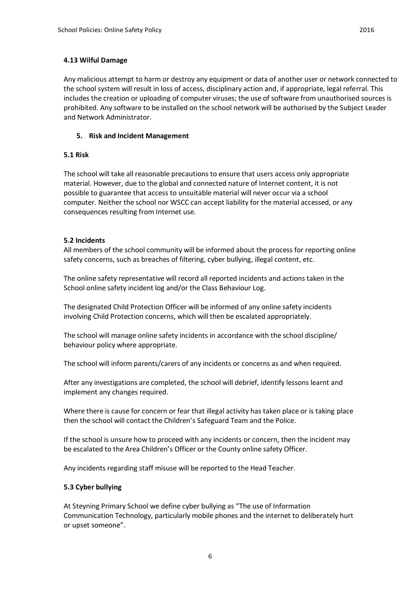Any malicious attempt to harm or destroy any equipment or data of another user or network connected to the school system will result in loss of access, disciplinary action and, if appropriate, legal referral. This includes the creation or uploading of computer viruses; the use of software from unauthorised sources is prohibited. Any software to be installed on the school network will be authorised by the Subject Leader and Network Administrator.

## **5. Risk and Incident Management**

## **5.1 Risk**

The school will take all reasonable precautions to ensure that users access only appropriate material. However, due to the global and connected nature of Internet content, it is not possible to guarantee that access to unsuitable material will never occur via a school computer. Neither the school nor WSCC can accept liability for the material accessed, or any consequences resulting from Internet use.

## **5.2 Incidents**

All members of the school community will be informed about the process for reporting online safety concerns, such as breaches of filtering, cyber bullying, illegal content, etc.

The online safety representative will record all reported incidents and actions taken in the School online safety incident log and/or the Class Behaviour Log.

The designated Child Protection Officer will be informed of any online safety incidents involving Child Protection concerns, which will then be escalated appropriately.

The school will manage online safety incidents in accordance with the school discipline/ behaviour policy where appropriate.

The school will inform parents/carers of any incidents or concerns as and when required.

After any investigations are completed, the school will debrief, identify lessons learnt and implement any changes required.

Where there is cause for concern or fear that illegal activity has taken place or is taking place then the school will contact the Children's Safeguard Team and the Police.

If the school is unsure how to proceed with any incidents or concern, then the incident may be escalated to the Area Children's Officer or the County online safety Officer.

Any incidents regarding staff misuse will be reported to the Head Teacher.

### **5.3 Cyber bullying**

At Steyning Primary School we define cyber bullying as "The use of Information Communication Technology, particularly mobile phones and the internet to deliberately hurt or upset someone".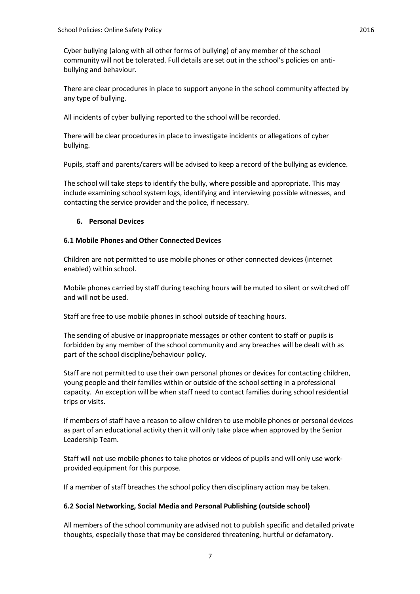Cyber bullying (along with all other forms of bullying) of any member of the school community will not be tolerated. Full details are set out in the school's policies on antibullying and behaviour.

There are clear procedures in place to support anyone in the school community affected by any type of bullying.

All incidents of cyber bullying reported to the school will be recorded.

There will be clear procedures in place to investigate incidents or allegations of cyber bullying.

Pupils, staff and parents/carers will be advised to keep a record of the bullying as evidence.

The school will take steps to identify the bully, where possible and appropriate. This may include examining school system logs, identifying and interviewing possible witnesses, and contacting the service provider and the police, if necessary.

## **6. Personal Devices**

## **6.1 Mobile Phones and Other Connected Devices**

Children are not permitted to use mobile phones or other connected devices (internet enabled) within school.

Mobile phones carried by staff during teaching hours will be muted to silent or switched off and will not be used.

Staff are free to use mobile phones in school outside of teaching hours.

The sending of abusive or inappropriate messages or other content to staff or pupils is forbidden by any member of the school community and any breaches will be dealt with as part of the school discipline/behaviour policy.

Staff are not permitted to use their own personal phones or devices for contacting children, young people and their families within or outside of the school setting in a professional capacity. An exception will be when staff need to contact families during school residential trips or visits.

If members of staff have a reason to allow children to use mobile phones or personal devices as part of an educational activity then it will only take place when approved by the Senior Leadership Team.

Staff will not use mobile phones to take photos or videos of pupils and will only use workprovided equipment for this purpose.

If a member of staff breaches the school policy then disciplinary action may be taken.

### **6.2 Social Networking, Social Media and Personal Publishing (outside school)**

All members of the school community are advised not to publish specific and detailed private thoughts, especially those that may be considered threatening, hurtful or defamatory.